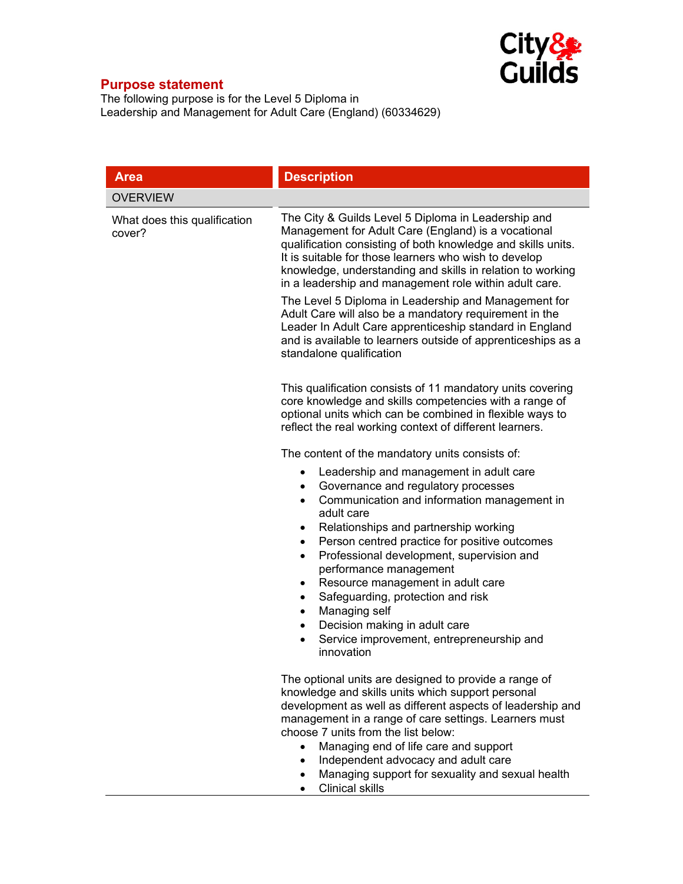

## **Purpose statement**

The following purpose is for the Level 5 Diploma in Leadership and Management for Adult Care (England) (60334629)

| <b>Area</b>                            | <b>Description</b>                                                                                                                                                                                                                                                                                                                                                                                                                                                                                                                                                                                                                   |
|----------------------------------------|--------------------------------------------------------------------------------------------------------------------------------------------------------------------------------------------------------------------------------------------------------------------------------------------------------------------------------------------------------------------------------------------------------------------------------------------------------------------------------------------------------------------------------------------------------------------------------------------------------------------------------------|
| <b>OVERVIEW</b>                        |                                                                                                                                                                                                                                                                                                                                                                                                                                                                                                                                                                                                                                      |
| What does this qualification<br>cover? | The City & Guilds Level 5 Diploma in Leadership and<br>Management for Adult Care (England) is a vocational<br>qualification consisting of both knowledge and skills units.<br>It is suitable for those learners who wish to develop<br>knowledge, understanding and skills in relation to working<br>in a leadership and management role within adult care.<br>The Level 5 Diploma in Leadership and Management for<br>Adult Care will also be a mandatory requirement in the<br>Leader In Adult Care apprenticeship standard in England<br>and is available to learners outside of apprenticeships as a<br>standalone qualification |
|                                        | This qualification consists of 11 mandatory units covering<br>core knowledge and skills competencies with a range of<br>optional units which can be combined in flexible ways to<br>reflect the real working context of different learners.                                                                                                                                                                                                                                                                                                                                                                                          |
|                                        | The content of the mandatory units consists of:<br>Leadership and management in adult care<br>٠<br>Governance and regulatory processes<br>Communication and information management in<br>$\bullet$<br>adult care<br>Relationships and partnership working<br>Person centred practice for positive outcomes<br>$\bullet$<br>Professional development, supervision and<br>$\bullet$<br>performance management<br>Resource management in adult care<br>٠<br>Safeguarding, protection and risk<br>Managing self<br>٠<br>Decision making in adult care<br>٠<br>Service improvement, entrepreneurship and<br>$\bullet$<br>innovation       |
|                                        | The optional units are designed to provide a range of<br>knowledge and skills units which support personal<br>development as well as different aspects of leadership and<br>management in a range of care settings. Learners must<br>choose 7 units from the list below:<br>Managing end of life care and support<br>Independent advocacy and adult care<br>Managing support for sexuality and sexual health<br><b>Clinical skills</b>                                                                                                                                                                                               |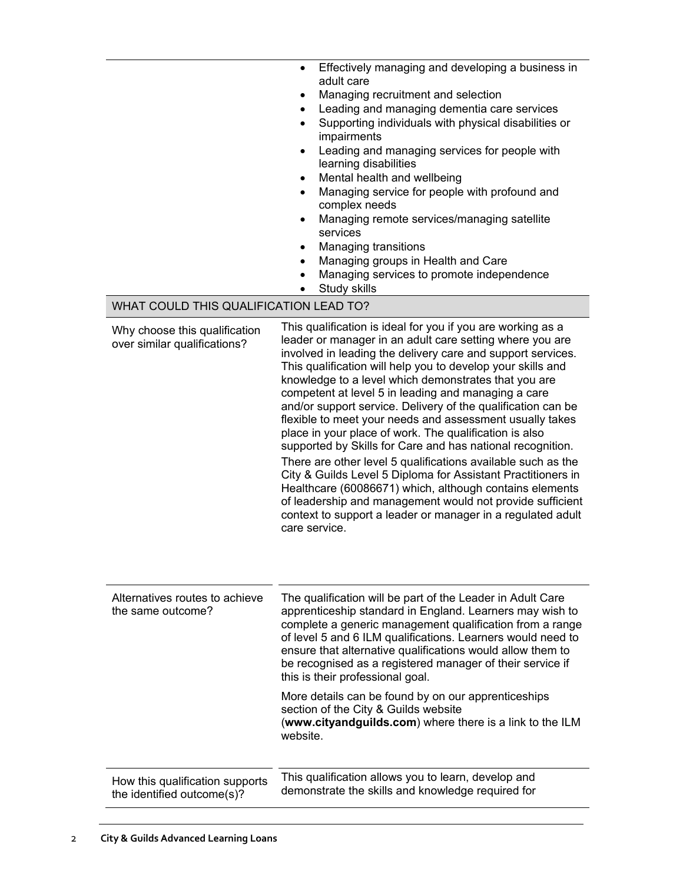|                                                               | Effectively managing and developing a business in<br>$\bullet$<br>adult care<br>Managing recruitment and selection<br>Leading and managing dementia care services<br>Supporting individuals with physical disabilities or<br>impairments<br>Leading and managing services for people with |
|---------------------------------------------------------------|-------------------------------------------------------------------------------------------------------------------------------------------------------------------------------------------------------------------------------------------------------------------------------------------|
|                                                               | learning disabilities                                                                                                                                                                                                                                                                     |
|                                                               | Mental health and wellbeing<br>$\bullet$                                                                                                                                                                                                                                                  |
|                                                               | Managing service for people with profound and<br>complex needs                                                                                                                                                                                                                            |
|                                                               | Managing remote services/managing satellite<br>services                                                                                                                                                                                                                                   |
|                                                               | Managing transitions<br>$\bullet$                                                                                                                                                                                                                                                         |
|                                                               | Managing groups in Health and Care<br>٠                                                                                                                                                                                                                                                   |
|                                                               | Managing services to promote independence<br>Study skills                                                                                                                                                                                                                                 |
| WHAT COULD THIS QUALIFICATION LEAD TO?                        |                                                                                                                                                                                                                                                                                           |
| Why choose this qualification<br>over similar qualifications? | This qualification is ideal for you if you are working as a<br>leader or manager in an adult care setting where you are<br>involved in leading the delivery care and support services.<br>This qualification will help you to develop your skills and                                     |

care service.

website.

this is their professional goal.

section of the City & Guilds website

knowledge to a level which demonstrates that you are competent at level 5 in leading and managing a care and/or support service. Delivery of the qualification can be flexible to meet your needs and assessment usually takes place in your place of work. The qualification is also supported by Skills for Care and has national recognition. There are other level 5 qualifications available such as the City & Guilds Level 5 Diploma for Assistant Practitioners in Healthcare (60086671) which, although contains elements of leadership and management would not provide sufficient context to support a leader or manager in a regulated adult

The qualification will be part of the Leader in Adult Care apprenticeship standard in England. Learners may wish to complete a generic management qualification from a range of level 5 and 6 ILM qualifications. Learners would need to ensure that alternative qualifications would allow them to be recognised as a registered manager of their service if

More details can be found by on our apprenticeships

This qualification allows you to learn, develop and demonstrate the skills and knowledge required for

(**www.cityandguilds.com**) where there is a link to the ILM

How this qualification supports the identified outcome(s)?

Alternatives routes to achieve

the same outcome?